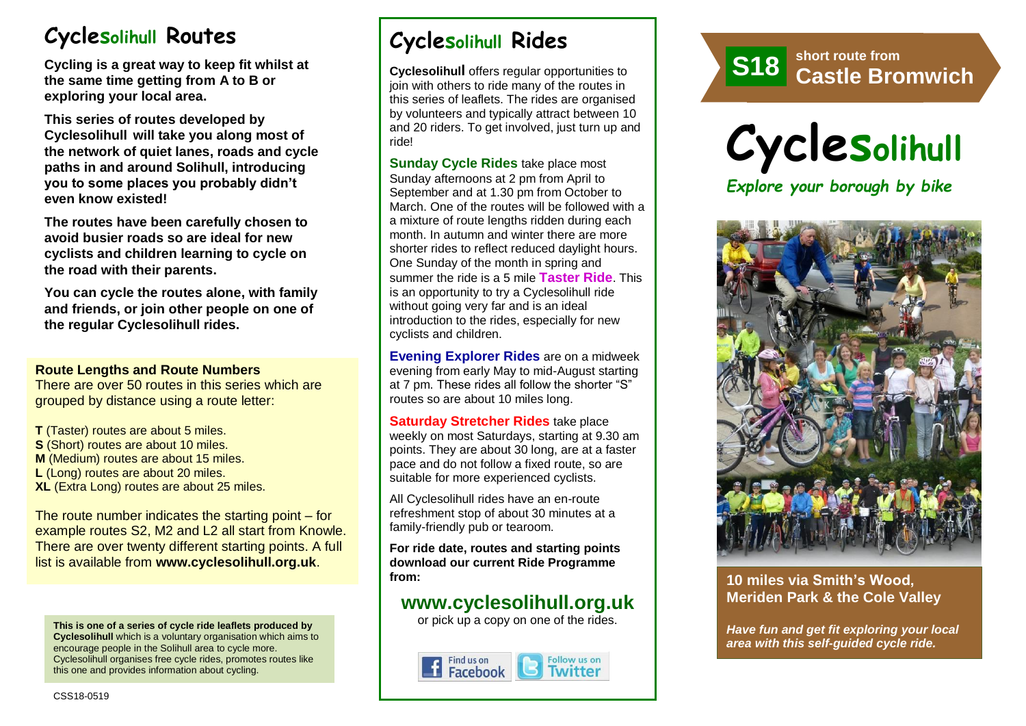# **Cyclesolihull Routes**

**Cycling is a great way to keep fit whilst at the same time getting from A to B or exploring your local area.** 

**This series of routes developed by Cyclesolihull will take you along most of the network of quiet lanes, roads and cycle paths in and around Solihull, introducing you to some places you probably didn't even know existed!**

**The routes have been carefully chosen to avoid busier roads so are ideal for new cyclists and children learning to cycle on the road with their parents.** 

**You can cycle the routes alone, with family and friends, or join other people on one of the regular Cyclesolihull rides.**

#### **Route Lengths and Route Numbers**

There are over 50 routes in this series which are grouped by distance using a route letter:

**T** (Taster) routes are about 5 miles. **S** (Short) routes are about 10 miles. **M** (Medium) routes are about 15 miles. **L** (Long) routes are about 20 miles. **XL** (Extra Long) routes are about 25 miles.

The route number indicates the starting point – for example routes S2, M2 and L2 all start from Knowle. There are over twenty different starting points. A full list is available from **www.cyclesolihull.org.uk**.

**This is one of a series of cycle ride leaflets produced by Cyclesolihull** which is a voluntary organisation which aims to encourage people in the Solihull area to cycle more. Cyclesolihull organises free cycle rides, promotes routes like this one and provides information about cycling.

# **Cyclesolihull Rides**

**Cyclesolihull** offers regular opportunities to join with others to ride many of the routes in this series of leaflets. The rides are organised by volunteers and typically attract between 10 and 20 riders. To get involved, just turn up and ride!

**Sunday Cycle Rides** take place most Sunday afternoons at 2 pm from April to September and at 1.30 pm from October to March. One of the routes will be followed with a a mixture of route lengths ridden during each month. In autumn and winter there are more shorter rides to reflect reduced daylight hours. One Sunday of the month in spring and summer the ride is a 5 mile **Taster Ride**. This is an opportunity to try a Cyclesolihull ride without going very far and is an ideal introduction to the rides, especially for new cyclists and children.

**Evening Explorer Rides** are on a midweek evening from early May to mid-August starting at 7 pm. These rides all follow the shorter "S" routes so are about 10 miles long.

**Saturday Stretcher Rides** take place weekly on most Saturdays, starting at 9.30 am points. They are about 30 long, are at a faster pace and do not follow a fixed route, so are suitable for more experienced cyclists.

All Cyclesolihull rides have an en-route refreshment stop of about 30 minutes at a family-friendly pub or tearoom.

**For ride date, routes and starting points download our current Ride Programme from:** 

### **www.cyclesolihull.org.uk**

or pick up a copy on one of the rides.







#### **10 miles via Smith's Wood, Meriden Park & the Cole Valley**

*Have fun and get fit exploring your local area with this self-guided cycle ride.*